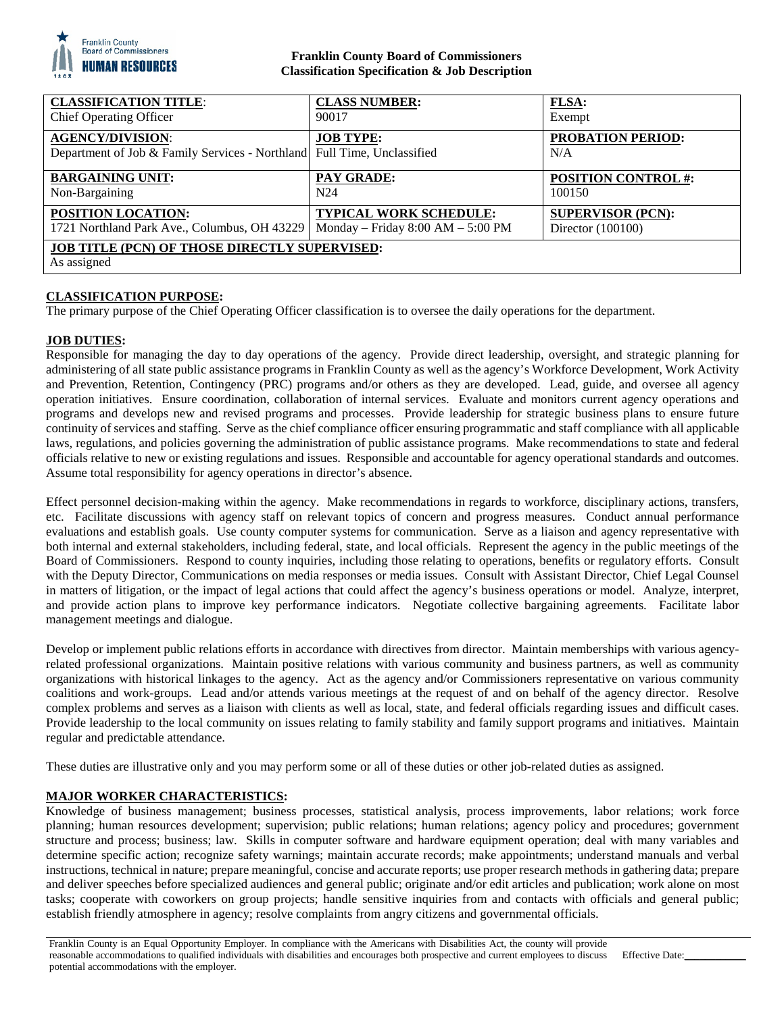

# **Franklin County Board of Commissioners Classification Specification & Job Description**

| <b>CLASSIFICATION TITLE:</b>                                                                       | <b>CLASS NUMBER:</b>                  | <b>FLSA:</b>                    |
|----------------------------------------------------------------------------------------------------|---------------------------------------|---------------------------------|
| <b>Chief Operating Officer</b>                                                                     | 90017                                 | Exempt                          |
| <b>AGENCY/DIVISION:</b><br>Department of Job & Family Services - Northland Full Time, Unclassified | <b>JOB TYPE:</b>                      | <b>PROBATION PERIOD:</b><br>N/A |
| <b>BARGAINING UNIT:</b>                                                                            | <b>PAY GRADE:</b>                     | <b>POSITION CONTROL #:</b>      |
| Non-Bargaining                                                                                     | N <sub>24</sub>                       | 100150                          |
| <b>POSITION LOCATION:</b>                                                                          | <b>TYPICAL WORK SCHEDULE:</b>         | <b>SUPERVISOR (PCN):</b>        |
| 1721 Northland Park Ave., Columbus, OH 43229                                                       | Monday – Friday $8:00$ AM – $5:00$ PM | Director (100100)               |
| <b>JOB TITLE (PCN) OF THOSE DIRECTLY SUPERVISED:</b><br>As assigned                                |                                       |                                 |

# **CLASSIFICATION PURPOSE:**

The primary purpose of the Chief Operating Officer classification is to oversee the daily operations for the department.

## **JOB DUTIES:**

Responsible for managing the day to day operations of the agency. Provide direct leadership, oversight, and strategic planning for administering of all state public assistance programs in Franklin County as well as the agency's Workforce Development, Work Activity and Prevention, Retention, Contingency (PRC) programs and/or others as they are developed. Lead, guide, and oversee all agency operation initiatives. Ensure coordination, collaboration of internal services. Evaluate and monitors current agency operations and programs and develops new and revised programs and processes. Provide leadership for strategic business plans to ensure future continuity of services and staffing. Serve as the chief compliance officer ensuring programmatic and staff compliance with all applicable laws, regulations, and policies governing the administration of public assistance programs. Make recommendations to state and federal officials relative to new or existing regulations and issues. Responsible and accountable for agency operational standards and outcomes. Assume total responsibility for agency operations in director's absence.

Effect personnel decision-making within the agency. Make recommendations in regards to workforce, disciplinary actions, transfers, etc. Facilitate discussions with agency staff on relevant topics of concern and progress measures. Conduct annual performance evaluations and establish goals. Use county computer systems for communication. Serve as a liaison and agency representative with both internal and external stakeholders, including federal, state, and local officials. Represent the agency in the public meetings of the Board of Commissioners. Respond to county inquiries, including those relating to operations, benefits or regulatory efforts. Consult with the Deputy Director, Communications on media responses or media issues. Consult with Assistant Director, Chief Legal Counsel in matters of litigation, or the impact of legal actions that could affect the agency's business operations or model. Analyze, interpret, and provide action plans to improve key performance indicators. Negotiate collective bargaining agreements. Facilitate labor management meetings and dialogue.

Develop or implement public relations efforts in accordance with directives from director. Maintain memberships with various agencyrelated professional organizations. Maintain positive relations with various community and business partners, as well as community organizations with historical linkages to the agency. Act as the agency and/or Commissioners representative on various community coalitions and work-groups. Lead and/or attends various meetings at the request of and on behalf of the agency director. Resolve complex problems and serves as a liaison with clients as well as local, state, and federal officials regarding issues and difficult cases. Provide leadership to the local community on issues relating to family stability and family support programs and initiatives. Maintain regular and predictable attendance.

These duties are illustrative only and you may perform some or all of these duties or other job-related duties as assigned.

## **MAJOR WORKER CHARACTERISTICS:**

Knowledge of business management; business processes, statistical analysis, process improvements, labor relations; work force planning; human resources development; supervision; public relations; human relations; agency policy and procedures; government structure and process; business; law. Skills in computer software and hardware equipment operation; deal with many variables and determine specific action; recognize safety warnings; maintain accurate records; make appointments; understand manuals and verbal instructions, technical in nature; prepare meaningful, concise and accurate reports; use proper research methods in gathering data; prepare and deliver speeches before specialized audiences and general public; originate and/or edit articles and publication; work alone on most tasks; cooperate with coworkers on group projects; handle sensitive inquiries from and contacts with officials and general public; establish friendly atmosphere in agency; resolve complaints from angry citizens and governmental officials.